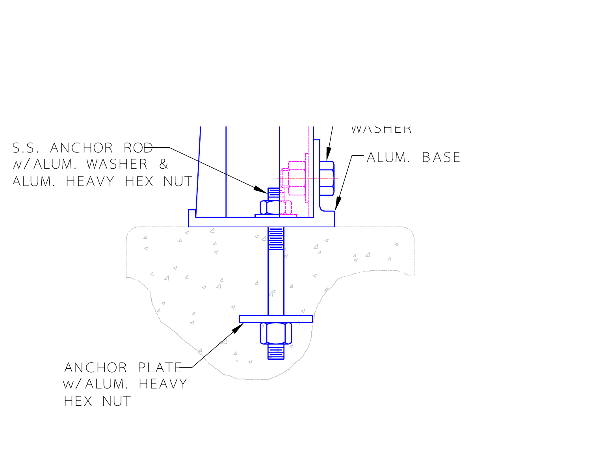